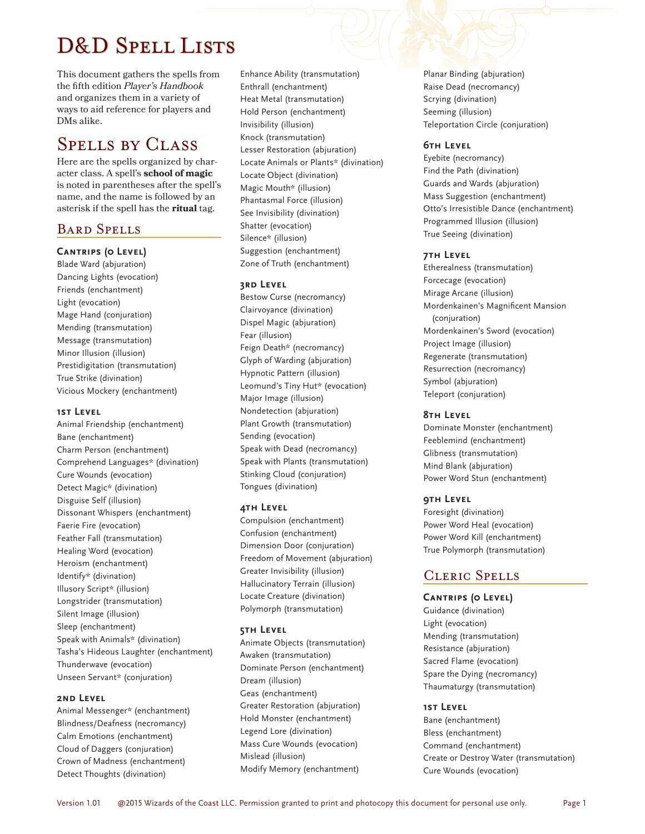# D&D SPELL LISTS

This document gathers the spells from the fifth edition *Player's Handbook* and organizes them in a variety of ways to aid reference for players and DMs alike.

# Spells by Class

Here are the spells organized by character class. A spell's **school of magic** is noted in parentheses after the spell's name, and the name is followed by an asterisk if the spell has the **ritual** tag.

# Bard Spells

## **Cantrips (0 Level)**

Blade Ward (abjuration) Dancing Lights (evocation) Friends (enchantment) Light (evocation) Mage Hand (conjuration) Mending (transmutation) Message (transmutation) Minor Illusion (illusion) Prestidigitation (transmutation) True Strike (divination) Vicious Mockery (enchantment)

#### **1st Level**

Animal Friendship (enchantment) Bane (enchantment) Charm Person (enchantment) Comprehend Languages\* (divination) Cure Wounds (evocation) Detect Magic\* (divination) Disguise Self (illusion) Dissonant Whispers (enchantment) Faerie Fire (evocation) Feather Fall (transmutation) Healing Word (evocation) Heroism (enchantment) Identify\* (divination) Illusory Script\* (illusion) Longstrider (transmutation) Silent Image (illusion) Sleep (enchantment) Speak with Animals\* (divination) Tasha's Hideous Laughter (enchantment) Thunderwave (evocation) Unseen Servant\* (conjuration)

#### **2nd Level**

Animal Messenger\* (enchantment) Blindness/Deafness (necromancy) Calm Emotions (enchantment) Cloud of Daggers (conjuration) Crown of Madness (enchantment) Detect Thoughts (divination)

Enhance Ability (transmutation) Enthrall (enchantment) Heat Metal (transmutation) Hold Person (enchantment) Invisibility (illusion) Knock (transmutation) Lesser Restoration (abjuration) Locate Animals or Plants\* (divination) Locate Object (divination) Magic Mouth\* (illusion) Phantasmal Force (illusion) See Invisibility (divination) Shatter (evocation) Silence\* (illusion) Suggestion (enchantment) Zone of Truth (enchantment)

## **3rd Level**

Bestow Curse (necromancy) Clairvoyance (divination) Dispel Magic (abjuration) Fear (illusion) Feign Death\* (necromancy) Glyph of Warding (abjuration) Hypnotic Pattern (illusion) Leomund's Tiny Hut\* (evocation) Major Image (illusion) Nondetection (abjuration) Plant Growth (transmutation) Sending (evocation) Speak with Dead (necromancy) Speak with Plants (transmutation) Stinking Cloud (conjuration) Tongues (divination)

#### **4th Level**

Compulsion (enchantment) Confusion (enchantment) Dimension Door (conjuration) Freedom of Movement (abjuration) Greater Invisibility (illusion) Hallucinatory Terrain (illusion) Locate Creature (divination) Polymorph (transmutation)

#### **5th Level**

Animate Objects (transmutation) Awaken (transmutation) Dominate Person (enchantment) Dream (illusion) Geas (enchantment) Greater Restoration (abjuration) Hold Monster (enchantment) Legend Lore (divination) Mass Cure Wounds (evocation) Mislead (illusion) Modify Memory (enchantment)

Planar Binding (abjuration) Raise Dead (necromancy) Scrying (divination) Seeming (illusion) Teleportation Circle (conjuration)

## **6th Level**

Eyebite (necromancy) Find the Path (divination) Guards and Wards (abjuration) Mass Suggestion (enchantment) Otto's Irresistible Dance (enchantment) Programmed Illusion (illusion) True Seeing (divination)

## **7th Level**

Etherealness (transmutation) Forcecage (evocation) Mirage Arcane (illusion) Mordenkainen's Magnificent Mansion (conjuration) Mordenkainen's Sword (evocation) Project Image (illusion) Regenerate (transmutation) Resurrection (necromancy) Symbol (abjuration) Teleport (conjuration)

## **8th Level**

Dominate Monster (enchantment) Feeblemind (enchantment) Glibness (transmutation) Mind Blank (abjuration) Power Word Stun (enchantment)

## **9th Level**

Foresight (divination) Power Word Heal (evocation) Power Word Kill (enchantment) True Polymorph (transmutation)

# Cleric Spells

## **Cantrips (0 Level)**

Guidance (divination) Light (evocation) Mending (transmutation) Resistance (abjuration) Sacred Flame (evocation) Spare the Dying (necromancy) Thaumaturgy (transmutation)

## **1st Level**

Bane (enchantment) Bless (enchantment) Command (enchantment) Create or Destroy Water (transmutation) Cure Wounds (evocation)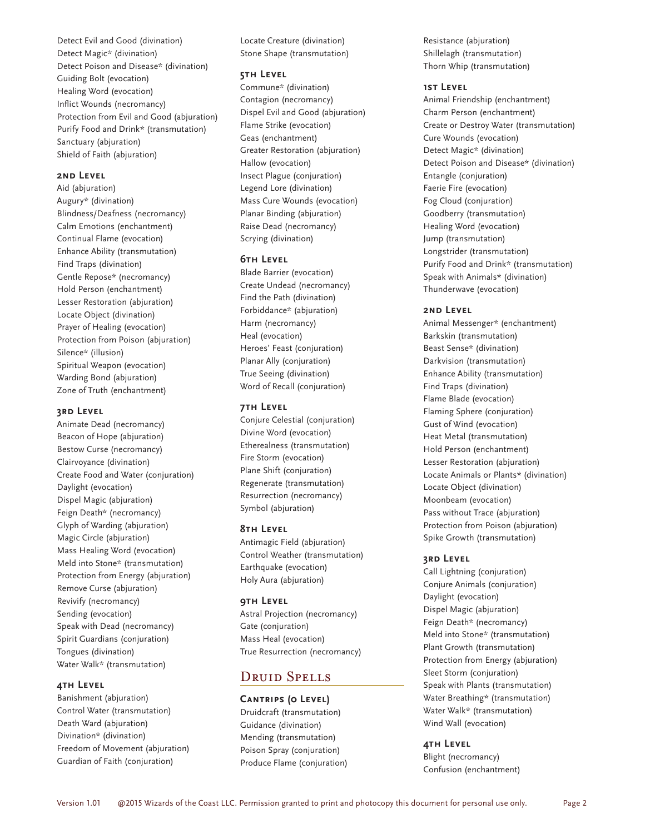Detect Evil and Good (divination) Detect Magic\* (divination) Detect Poison and Disease\* (divination) Guiding Bolt (evocation) Healing Word (evocation) Inflict Wounds (necromancy) Protection from Evil and Good (abjuration) Purify Food and Drink\* (transmutation) Sanctuary (abjuration) Shield of Faith (abjuration)

# **2nd Level**

Aid (abjuration) Augury\* (divination) Blindness/Deafness (necromancy) Calm Emotions (enchantment) Continual Flame (evocation) Enhance Ability (transmutation) Find Traps (divination) Gentle Repose\* (necromancy) Hold Person (enchantment) Lesser Restoration (abjuration) Locate Object (divination) Prayer of Healing (evocation) Protection from Poison (abjuration) Silence\* (illusion) Spiritual Weapon (evocation) Warding Bond (abjuration) Zone of Truth (enchantment)

#### **3rd Level**

Animate Dead (necromancy) Beacon of Hope (abjuration) Bestow Curse (necromancy) Clairvoyance (divination) Create Food and Water (conjuration) Daylight (evocation) Dispel Magic (abjuration) Feign Death\* (necromancy) Glyph of Warding (abjuration) Magic Circle (abjuration) Mass Healing Word (evocation) Meld into Stone\* (transmutation) Protection from Energy (abjuration) Remove Curse (abjuration) Revivify (necromancy) Sending (evocation) Speak with Dead (necromancy) Spirit Guardians (conjuration) Tongues (divination) Water Walk\* (transmutation)

## **4th Level**

Banishment (abjuration) Control Water (transmutation) Death Ward (abjuration) Divination\* (divination) Freedom of Movement (abjuration) Guardian of Faith (conjuration)

Locate Creature (divination) Stone Shape (transmutation)

#### **5th Level**

Commune\* (divination) Contagion (necromancy) Dispel Evil and Good (abjuration) Flame Strike (evocation) Geas (enchantment) Greater Restoration (abjuration) Hallow (evocation) Insect Plague (conjuration) Legend Lore (divination) Mass Cure Wounds (evocation) Planar Binding (abjuration) Raise Dead (necromancy) Scrying (divination)

#### **6th Level**

Blade Barrier (evocation) Create Undead (necromancy) Find the Path (divination) Forbiddance\* (abjuration) Harm (necromancy) Heal (evocation) Heroes' Feast (conjuration) Planar Ally (conjuration) True Seeing (divination) Word of Recall (conjuration)

#### **7th Level**

Conjure Celestial (conjuration) Divine Word (evocation) Etherealness (transmutation) Fire Storm (evocation) Plane Shift (conjuration) Regenerate (transmutation) Resurrection (necromancy) Symbol (abjuration)

#### **8th Level**

Antimagic Field (abjuration) Control Weather (transmutation) Earthquake (evocation) Holy Aura (abjuration)

### **9th Level**

Astral Projection (necromancy) Gate (conjuration) Mass Heal (evocation) True Resurrection (necromancy)

# DRUID SPELLS

#### **Cantrips (0 Level)**

Druidcraft (transmutation) Guidance (divination) Mending (transmutation) Poison Spray (conjuration) Produce Flame (conjuration) Resistance (abjuration) Shillelagh (transmutation) Thorn Whip (transmutation)

### **1st Level**

Animal Friendship (enchantment) Charm Person (enchantment) Create or Destroy Water (transmutation) Cure Wounds (evocation) Detect Magic\* (divination) Detect Poison and Disease\* (divination) Entangle (conjuration) Faerie Fire (evocation) Fog Cloud (conjuration) Goodberry (transmutation) Healing Word (evocation) Jump (transmutation) Longstrider (transmutation) Purify Food and Drink\* (transmutation) Speak with Animals\* (divination) Thunderwave (evocation)

#### **2nd Level**

Animal Messenger\* (enchantment) Barkskin (transmutation) Beast Sense\* (divination) Darkvision (transmutation) Enhance Ability (transmutation) Find Traps (divination) Flame Blade (evocation) Flaming Sphere (conjuration) Gust of Wind (evocation) Heat Metal (transmutation) Hold Person (enchantment) Lesser Restoration (abjuration) Locate Animals or Plants\* (divination) Locate Object (divination) Moonbeam (evocation) Pass without Trace (abjuration) Protection from Poison (abjuration) Spike Growth (transmutation)

#### **3rd Level**

Call Lightning (conjuration) Conjure Animals (conjuration) Daylight (evocation) Dispel Magic (abjuration) Feign Death\* (necromancy) Meld into Stone\* (transmutation) Plant Growth (transmutation) Protection from Energy (abjuration) Sleet Storm (conjuration) Speak with Plants (transmutation) Water Breathing\* (transmutation) Water Walk\* (transmutation) Wind Wall (evocation)

## **4th Level**

Blight (necromancy) Confusion (enchantment)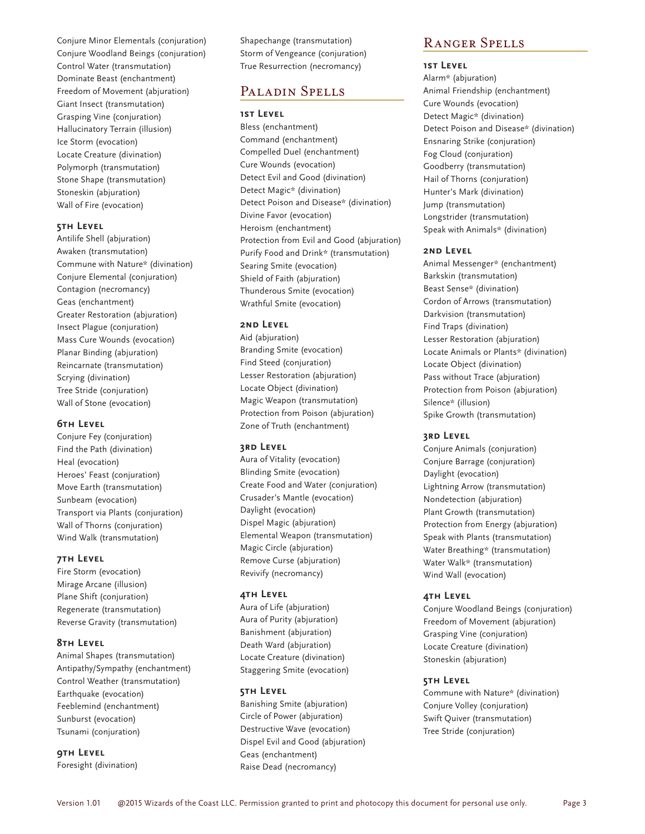Conjure Minor Elementals (conjuration) Conjure Woodland Beings (conjuration) Control Water (transmutation) Dominate Beast (enchantment) Freedom of Movement (abjuration) Giant Insect (transmutation) Grasping Vine (conjuration) Hallucinatory Terrain (illusion) Ice Storm (evocation) Locate Creature (divination) Polymorph (transmutation) Stone Shape (transmutation) Stoneskin (abjuration) Wall of Fire (evocation)

#### **5th Level**

Antilife Shell (abjuration) Awaken (transmutation) Commune with Nature\* (divination) Conjure Elemental (conjuration) Contagion (necromancy) Geas (enchantment) Greater Restoration (abjuration) Insect Plague (conjuration) Mass Cure Wounds (evocation) Planar Binding (abjuration) Reincarnate (transmutation) Scrying (divination) Tree Stride (conjuration) Wall of Stone (evocation)

#### **6th Level**

Conjure Fey (conjuration) Find the Path (divination) Heal (evocation) Heroes' Feast (conjuration) Move Earth (transmutation) Sunbeam (evocation) Transport via Plants (conjuration) Wall of Thorns (conjuration) Wind Walk (transmutation)

#### **7th Level**

Fire Storm (evocation) Mirage Arcane (illusion) Plane Shift (conjuration) Regenerate (transmutation) Reverse Gravity (transmutation)

#### **8th Level**

Animal Shapes (transmutation) Antipathy/Sympathy (enchantment) Control Weather (transmutation) Earthquake (evocation) Feeblemind (enchantment) Sunburst (evocation) Tsunami (conjuration)

**9th Level**

Foresight (divination)

Shapechange (transmutation) Storm of Vengeance (conjuration) True Resurrection (necromancy)

# Paladin Spells

#### **1st Level**

Bless (enchantment) Command (enchantment) Compelled Duel (enchantment) Cure Wounds (evocation) Detect Evil and Good (divination) Detect Magic\* (divination) Detect Poison and Disease\* (divination) Divine Favor (evocation) Heroism (enchantment) Protection from Evil and Good (abjuration) Purify Food and Drink\* (transmutation) Searing Smite (evocation) Shield of Faith (abjuration) Thunderous Smite (evocation) Wrathful Smite (evocation)

#### **2nd Level**

Aid (abjuration) Branding Smite (evocation) Find Steed (conjuration) Lesser Restoration (abjuration) Locate Object (divination) Magic Weapon (transmutation) Protection from Poison (abjuration) Zone of Truth (enchantment)

#### **3rd Level**

Aura of Vitality (evocation) Blinding Smite (evocation) Create Food and Water (conjuration) Crusader's Mantle (evocation) Daylight (evocation) Dispel Magic (abjuration) Elemental Weapon (transmutation) Magic Circle (abjuration) Remove Curse (abjuration) Revivify (necromancy)

#### **4th Level**

Aura of Life (abjuration) Aura of Purity (abjuration) Banishment (abjuration) Death Ward (abjuration) Locate Creature (divination) Staggering Smite (evocation)

#### **5th Level**

Banishing Smite (abjuration) Circle of Power (abjuration) Destructive Wave (evocation) Dispel Evil and Good (abjuration) Geas (enchantment) Raise Dead (necromancy)

# Ranger Spells

# **1st Level**

Alarm\* (abjuration) Animal Friendship (enchantment) Cure Wounds (evocation) Detect Magic\* (divination) Detect Poison and Disease\* (divination) Ensnaring Strike (conjuration) Fog Cloud (conjuration) Goodberry (transmutation) Hail of Thorns (conjuration) Hunter's Mark (divination) Jump (transmutation) Longstrider (transmutation) Speak with Animals\* (divination)

#### **2nd Level**

Animal Messenger\* (enchantment) Barkskin (transmutation) Beast Sense\* (divination) Cordon of Arrows (transmutation) Darkvision (transmutation) Find Traps (divination) Lesser Restoration (abjuration) Locate Animals or Plants\* (divination) Locate Object (divination) Pass without Trace (abjuration) Protection from Poison (abjuration) Silence\* (illusion) Spike Growth (transmutation)

#### **3rd Level**

Conjure Animals (conjuration) Conjure Barrage (conjuration) Daylight (evocation) Lightning Arrow (transmutation) Nondetection (abjuration) Plant Growth (transmutation) Protection from Energy (abjuration) Speak with Plants (transmutation) Water Breathing\* (transmutation) Water Walk\* (transmutation) Wind Wall (evocation)

#### **4th Level**

Conjure Woodland Beings (conjuration) Freedom of Movement (abjuration) Grasping Vine (conjuration) Locate Creature (divination) Stoneskin (abjuration)

#### **5th Level**

Commune with Nature\* (divination) Conjure Volley (conjuration) Swift Quiver (transmutation) Tree Stride (conjuration)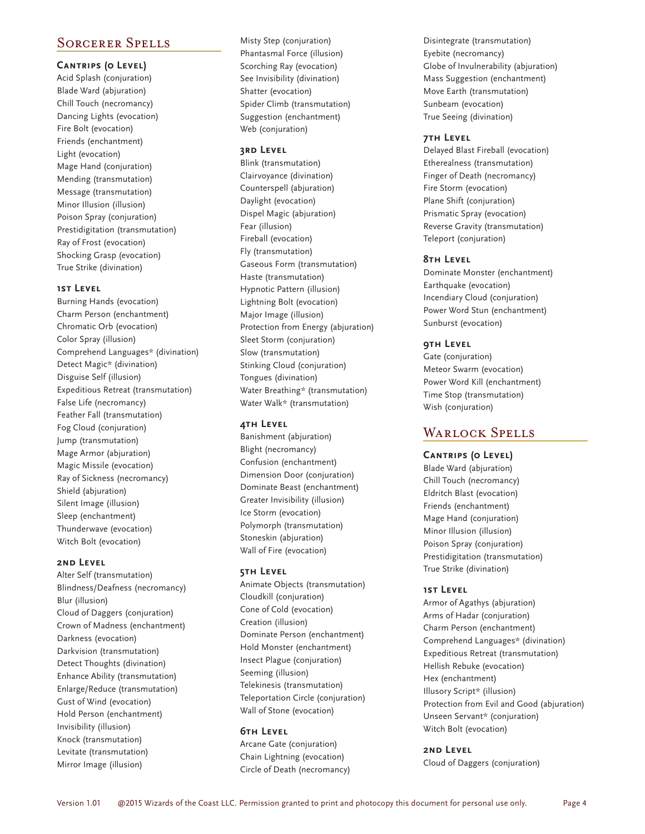# Sorcerer Spells

#### **Cantrips (0 Level)**

Acid Splash (conjuration) Blade Ward (abjuration) Chill Touch (necromancy) Dancing Lights (evocation) Fire Bolt (evocation) Friends (enchantment) Light (evocation) Mage Hand (conjuration) Mending (transmutation) Message (transmutation) Minor Illusion (illusion) Poison Spray (conjuration) Prestidigitation (transmutation) Ray of Frost (evocation) Shocking Grasp (evocation) True Strike (divination)

#### **1st Level**

Burning Hands (evocation) Charm Person (enchantment) Chromatic Orb (evocation) Color Spray (illusion) Comprehend Languages\* (divination) Detect Magic\* (divination) Disguise Self (illusion) Expeditious Retreat (transmutation) False Life (necromancy) Feather Fall (transmutation) Fog Cloud (conjuration) Jump (transmutation) Mage Armor (abjuration) Magic Missile (evocation) Ray of Sickness (necromancy) Shield (abjuration) Silent Image (illusion) Sleep (enchantment) Thunderwave (evocation) Witch Bolt (evocation)

### **2nd Level**

Alter Self (transmutation) Blindness/Deafness (necromancy) Blur (illusion) Cloud of Daggers (conjuration) Crown of Madness (enchantment) Darkness (evocation) Darkvision (transmutation) Detect Thoughts (divination) Enhance Ability (transmutation) Enlarge/Reduce (transmutation) Gust of Wind (evocation) Hold Person (enchantment) Invisibility (illusion) Knock (transmutation) Levitate (transmutation) Mirror Image (illusion)

Misty Step (conjuration) Phantasmal Force (illusion) Scorching Ray (evocation) See Invisibility (divination) Shatter (evocation) Spider Climb (transmutation) Suggestion (enchantment) Web (conjuration)

### **3rd Level**

Blink (transmutation) Clairvoyance (divination) Counterspell (abjuration) Daylight (evocation) Dispel Magic (abjuration) Fear (illusion) Fireball (evocation) Fly (transmutation) Gaseous Form (transmutation) Haste (transmutation) Hypnotic Pattern (illusion) Lightning Bolt (evocation) Major Image (illusion) Protection from Energy (abjuration) Sleet Storm (conjuration) Slow (transmutation) Stinking Cloud (conjuration) Tongues (divination) Water Breathing\* (transmutation) Water Walk\* (transmutation)

#### **4th Level**

Banishment (abjuration) Blight (necromancy) Confusion (enchantment) Dimension Door (conjuration) Dominate Beast (enchantment) Greater Invisibility (illusion) Ice Storm (evocation) Polymorph (transmutation) Stoneskin (abjuration) Wall of Fire (evocation)

## **5th Level**

Animate Objects (transmutation) Cloudkill (conjuration) Cone of Cold (evocation) Creation (illusion) Dominate Person (enchantment) Hold Monster (enchantment) Insect Plague (conjuration) Seeming (illusion) Telekinesis (transmutation) Teleportation Circle (conjuration) Wall of Stone (evocation)

### **6th Level**

Arcane Gate (conjuration) Chain Lightning (evocation) Circle of Death (necromancy) Disintegrate (transmutation) Eyebite (necromancy) Globe of Invulnerability (abjuration) Mass Suggestion (enchantment) Move Earth (transmutation) Sunbeam (evocation) True Seeing (divination)

#### **7th Level**

Delayed Blast Fireball (evocation) Etherealness (transmutation) Finger of Death (necromancy) Fire Storm (evocation) Plane Shift (conjuration) Prismatic Spray (evocation) Reverse Gravity (transmutation) Teleport (conjuration)

#### **8th Level**

Dominate Monster (enchantment) Earthquake (evocation) Incendiary Cloud (conjuration) Power Word Stun (enchantment) Sunburst (evocation)

## **9th Level**

Gate (conjuration) Meteor Swarm (evocation) Power Word Kill (enchantment) Time Stop (transmutation) Wish (conjuration)

# Warlock Spells

#### **Cantrips (0 Level)**

Blade Ward (abjuration) Chill Touch (necromancy) Eldritch Blast (evocation) Friends (enchantment) Mage Hand (conjuration) Minor Illusion (illusion) Poison Spray (conjuration) Prestidigitation (transmutation) True Strike (divination)

## **1st Level**

Armor of Agathys (abjuration) Arms of Hadar (conjuration) Charm Person (enchantment) Comprehend Languages\* (divination) Expeditious Retreat (transmutation) Hellish Rebuke (evocation) Hex (enchantment) Illusory Script\* (illusion) Protection from Evil and Good (abjuration) Unseen Servant\* (conjuration) Witch Bolt (evocation)

#### **2nd Level**

Cloud of Daggers (conjuration)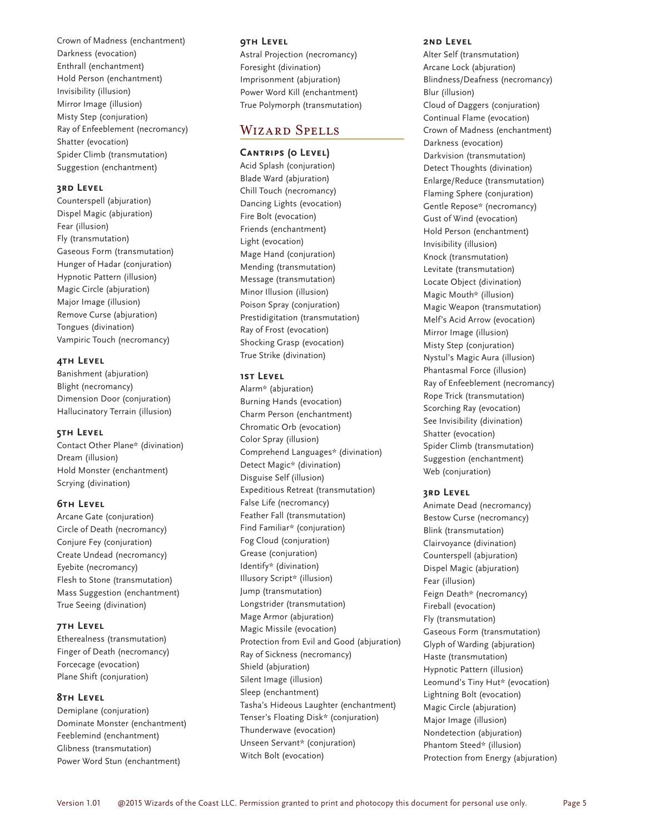Crown of Madness (enchantment) Darkness (evocation) Enthrall (enchantment) Hold Person (enchantment) Invisibility (illusion) Mirror Image (illusion) Misty Step (conjuration) Ray of Enfeeblement (necromancy) Shatter (evocation) Spider Climb (transmutation) Suggestion (enchantment)

#### **3rd Level**

Counterspell (abjuration) Dispel Magic (abjuration) Fear (illusion) Fly (transmutation) Gaseous Form (transmutation) Hunger of Hadar (conjuration) Hypnotic Pattern (illusion) Magic Circle (abjuration) Major Image (illusion) Remove Curse (abjuration) Tongues (divination) Vampiric Touch (necromancy)

#### **4th Level**

Banishment (abjuration) Blight (necromancy) Dimension Door (conjuration) Hallucinatory Terrain (illusion)

#### **5th Level**

Contact Other Plane\* (divination) Dream (illusion) Hold Monster (enchantment) Scrying (divination)

#### **6th Level**

Arcane Gate (conjuration) Circle of Death (necromancy) Conjure Fey (conjuration) Create Undead (necromancy) Eyebite (necromancy) Flesh to Stone (transmutation) Mass Suggestion (enchantment) True Seeing (divination)

### **7th Level**

Etherealness (transmutation) Finger of Death (necromancy) Forcecage (evocation) Plane Shift (conjuration)

#### **8th Level**

Demiplane (conjuration) Dominate Monster (enchantment) Feeblemind (enchantment) Glibness (transmutation) Power Word Stun (enchantment)

#### **9th Level**

Astral Projection (necromancy) Foresight (divination) Imprisonment (abjuration) Power Word Kill (enchantment) True Polymorph (transmutation)

# Wizard Spells

#### **Cantrips (0 Level)**

Acid Splash (conjuration) Blade Ward (abjuration) Chill Touch (necromancy) Dancing Lights (evocation) Fire Bolt (evocation) Friends (enchantment) Light (evocation) Mage Hand (conjuration) Mending (transmutation) Message (transmutation) Minor Illusion (illusion) Poison Spray (conjuration) Prestidigitation (transmutation) Ray of Frost (evocation) Shocking Grasp (evocation) True Strike (divination)

#### **1st Level**

Alarm\* (abjuration) Burning Hands (evocation) Charm Person (enchantment) Chromatic Orb (evocation) Color Spray (illusion) Comprehend Languages\* (divination) Detect Magic\* (divination) Disguise Self (illusion) Expeditious Retreat (transmutation) False Life (necromancy) Feather Fall (transmutation) Find Familiar\* (conjuration) Fog Cloud (conjuration) Grease (conjuration) Identify\* (divination) Illusory Script\* (illusion) Jump (transmutation) Longstrider (transmutation) Mage Armor (abjuration) Magic Missile (evocation) Protection from Evil and Good (abjuration) Ray of Sickness (necromancy) Shield (abjuration) Silent Image (illusion) Sleep (enchantment) Tasha's Hideous Laughter (enchantment) Tenser's Floating Disk\* (conjuration) Thunderwave (evocation) Unseen Servant\* (conjuration) Witch Bolt (evocation)

#### **2nd Level**

Alter Self (transmutation) Arcane Lock (abjuration) Blindness/Deafness (necromancy) Blur (illusion) Cloud of Daggers (conjuration) Continual Flame (evocation) Crown of Madness (enchantment) Darkness (evocation) Darkvision (transmutation) Detect Thoughts (divination) Enlarge/Reduce (transmutation) Flaming Sphere (conjuration) Gentle Repose\* (necromancy) Gust of Wind (evocation) Hold Person (enchantment) Invisibility (illusion) Knock (transmutation) Levitate (transmutation) Locate Object (divination) Magic Mouth\* (illusion) Magic Weapon (transmutation) Melf's Acid Arrow (evocation) Mirror Image (illusion) Misty Step (conjuration) Nystul's Magic Aura (illusion) Phantasmal Force (illusion) Ray of Enfeeblement (necromancy) Rope Trick (transmutation) Scorching Ray (evocation) See Invisibility (divination) Shatter (evocation) Spider Climb (transmutation) Suggestion (enchantment) Web (conjuration)

#### **3rd Level**

Animate Dead (necromancy) Bestow Curse (necromancy) Blink (transmutation) Clairvoyance (divination) Counterspell (abjuration) Dispel Magic (abjuration) Fear (illusion) Feign Death\* (necromancy) Fireball (evocation) Fly (transmutation) Gaseous Form (transmutation) Glyph of Warding (abjuration) Haste (transmutation) Hypnotic Pattern (illusion) Leomund's Tiny Hut\* (evocation) Lightning Bolt (evocation) Magic Circle (abjuration) Major Image (illusion) Nondetection (abjuration) Phantom Steed\* (illusion) Protection from Energy (abjuration)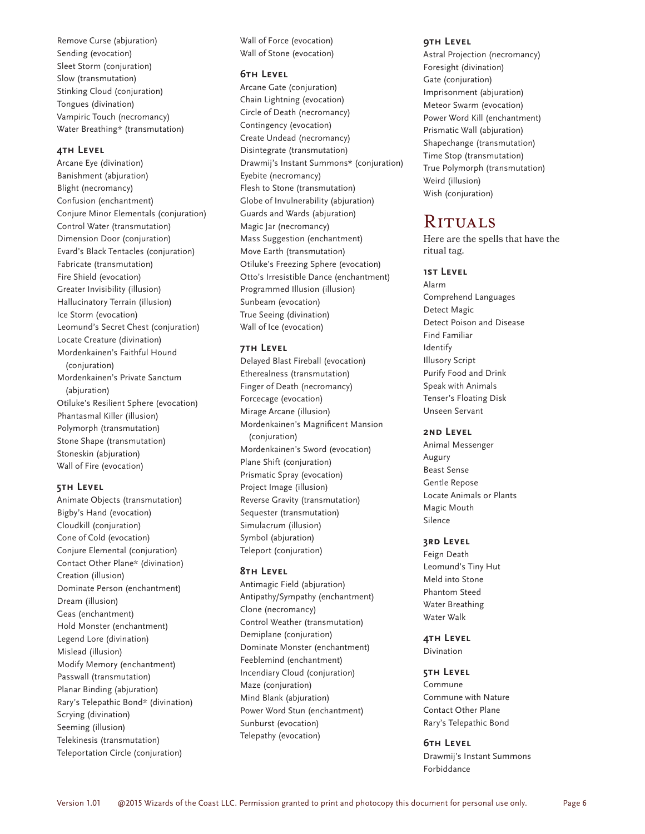Remove Curse (abjuration) Sending (evocation) Sleet Storm (conjuration) Slow (transmutation) Stinking Cloud (conjuration) Tongues (divination) Vampiric Touch (necromancy) Water Breathing\* (transmutation)

#### **4th Level**

Arcane Eye (divination) Banishment (abjuration) Blight (necromancy) Confusion (enchantment) Conjure Minor Elementals (conjuration) Control Water (transmutation) Dimension Door (conjuration) Evard's Black Tentacles (conjuration) Fabricate (transmutation) Fire Shield (evocation) Greater Invisibility (illusion) Hallucinatory Terrain (illusion) Ice Storm (evocation) Leomund's Secret Chest (conjuration) Locate Creature (divination) Mordenkainen's Faithful Hound (conjuration) Mordenkainen's Private Sanctum (abjuration) Otiluke's Resilient Sphere (evocation) Phantasmal Killer (illusion) Polymorph (transmutation) Stone Shape (transmutation) Stoneskin (abjuration) Wall of Fire (evocation)

#### **5th Level**

Animate Objects (transmutation) Bigby's Hand (evocation) Cloudkill (conjuration) Cone of Cold (evocation) Conjure Elemental (conjuration) Contact Other Plane\* (divination) Creation (illusion) Dominate Person (enchantment) Dream (illusion) Geas (enchantment) Hold Monster (enchantment) Legend Lore (divination) Mislead (illusion) Modify Memory (enchantment) Passwall (transmutation) Planar Binding (abjuration) Rary's Telepathic Bond\* (divination) Scrying (divination) Seeming (illusion) Telekinesis (transmutation) Teleportation Circle (conjuration)

Wall of Force (evocation) Wall of Stone (evocation)

### **6th Level**

Arcane Gate (conjuration) Chain Lightning (evocation) Circle of Death (necromancy) Contingency (evocation) Create Undead (necromancy) Disintegrate (transmutation) Drawmij's Instant Summons\* (conjuration) Eyebite (necromancy) Flesh to Stone (transmutation) Globe of Invulnerability (abjuration) Guards and Wards (abjuration) Magic Jar (necromancy) Mass Suggestion (enchantment) Move Earth (transmutation) Otiluke's Freezing Sphere (evocation) Otto's Irresistible Dance (enchantment) Programmed Illusion (illusion) Sunbeam (evocation) True Seeing (divination) Wall of Ice (evocation)

#### **7th Level**

Delayed Blast Fireball (evocation) Etherealness (transmutation) Finger of Death (necromancy) Forcecage (evocation) Mirage Arcane (illusion) Mordenkainen's Magnificent Mansion (conjuration) Mordenkainen's Sword (evocation) Plane Shift (conjuration) Prismatic Spray (evocation) Project Image (illusion) Reverse Gravity (transmutation) Sequester (transmutation) Simulacrum (illusion) Symbol (abjuration) Teleport (conjuration)

#### **8th Level**

Antimagic Field (abjuration) Antipathy/Sympathy (enchantment) Clone (necromancy) Control Weather (transmutation) Demiplane (conjuration) Dominate Monster (enchantment) Feeblemind (enchantment) Incendiary Cloud (conjuration) Maze (conjuration) Mind Blank (abjuration) Power Word Stun (enchantment) Sunburst (evocation) Telepathy (evocation)

#### **9th Level**

Astral Projection (necromancy) Foresight (divination) Gate (conjuration) Imprisonment (abjuration) Meteor Swarm (evocation) Power Word Kill (enchantment) Prismatic Wall (abjuration) Shapechange (transmutation) Time Stop (transmutation) True Polymorph (transmutation) Weird (illusion) Wish (conjuration)

# **RITUALS**

Here are the spells that have the ritual tag.

#### **1st Level**

Alarm Comprehend Languages Detect Magic Detect Poison and Disease Find Familiar Identify Illusory Script Purify Food and Drink Speak with Animals Tenser's Floating Disk Unseen Servant

#### **2nd Level**

Animal Messenger Augury Beast Sense Gentle Repose Locate Animals or Plants Magic Mouth Silence

#### **3rd Level**

Feign Death Leomund's Tiny Hut Meld into Stone Phantom Steed Water Breathing Water Walk

**4th Level** Divination

#### **5th Level**

Commune Commune with Nature Contact Other Plane Rary's Telepathic Bond

#### **6th Level**

Drawmij's Instant Summons Forbiddance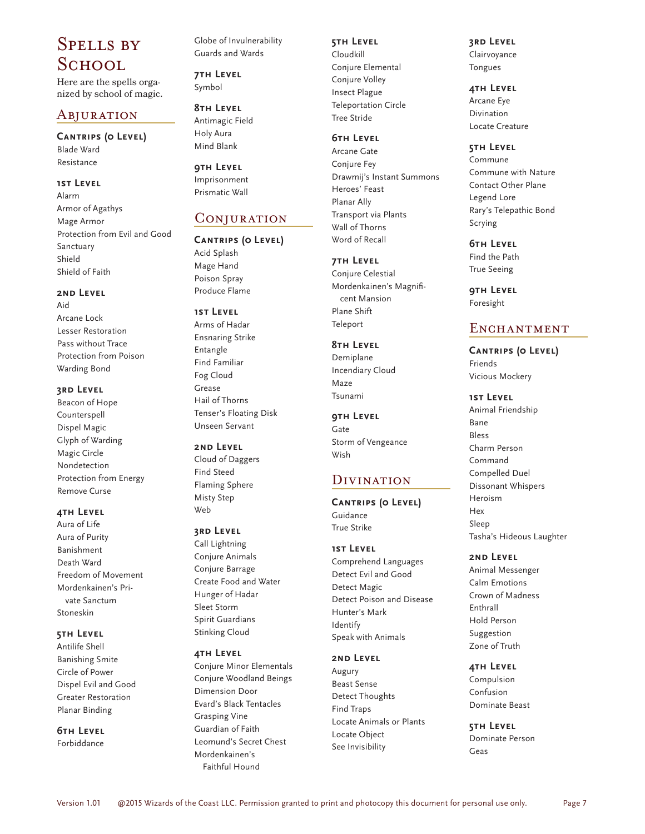# Spells by School.

Here are the spells organized by school of magic.

# Abjuration

**Cantrips (0 Level)** Blade Ward Resistance

#### **1st Level**

Alarm Armor of Agathys Mage Armor Protection from Evil and Good Sanctuary Shield Shield of Faith

#### **2nd Level**

Aid Arcane Lock Lesser Restoration Pass without Trace Protection from Poison Warding Bond

## **3rd Level**

Beacon of Hope Counterspell Dispel Magic Glyph of Warding Magic Circle Nondetection Protection from Energy Remove Curse

#### **4th Level**

Aura of Life Aura of Purity Banishment Death Ward Freedom of Movement Mordenkainen's Private Sanctum Stoneskin

## **5th Level**

Antilife Shell Banishing Smite Circle of Power Dispel Evil and Good Greater Restoration Planar Binding

# **6th Level**

Forbiddance

Globe of Invulnerability Guards and Wards

**7th Level** Symbol

**8th Level** Antimagic Field Holy Aura Mind Blank

**9th Level** Imprisonment Prismatic Wall

# Conjuration

**Cantrips (0 Level)** Acid Splash Mage Hand Poison Spray Produce Flame

# **1st Level**

Arms of Hadar Ensnaring Strike Entangle Find Familiar Fog Cloud Grease Hail of Thorns Tenser's Floating Disk Unseen Servant

#### **2nd Level**

Cloud of Daggers Find Steed Flaming Sphere Misty Step Web

#### **3rd Level**

Call Lightning Conjure Animals Conjure Barrage Create Food and Water Hunger of Hadar Sleet Storm Spirit Guardians Stinking Cloud

#### **4th Level**

Conjure Minor Elementals Conjure Woodland Beings Dimension Door Evard's Black Tentacles Grasping Vine Guardian of Faith Leomund's Secret Chest Mordenkainen's Faithful Hound

#### **5th Level**

Cloudkill Conjure Elemental Conjure Volley Insect Plague Teleportation Circle Tree Stride

#### **6th Level** Arcane Gate

Conjure Fey Drawmij's Instant Summons Heroes' Feast Planar Ally Transport via Plants Wall of Thorns Word of Recall

#### **7th Level**

Conjure Celestial Mordenkainen's Magnificent Mansion Plane Shift Teleport

#### **8th Level**

Demiplane Incendiary Cloud Maze Tsunami

**9th Level** Gate Storm of Vengeance Wish

# **DIVINATION**

**Cantrips (0 Level)** Guidance True Strike

#### **1st Level**

Comprehend Languages Detect Evil and Good Detect Magic Detect Poison and Disease Hunter's Mark Identify Speak with Animals

#### **2nd Level**

Augury Beast Sense Detect Thoughts Find Traps Locate Animals or Plants Locate Object See Invisibility

# **3rd Level**

Clairvoyance Tongues

#### **4th Level**

Arcane Eye Divination Locate Creature

#### **5th Level**

Commune Commune with Nature Contact Other Plane Legend Lore Rary's Telepathic Bond Scrying

#### **6th Level**

Find the Path True Seeing

**9th Level** Foresight

# ENCHANTMENT

**Cantrips (0 Level)** Friends Vicious Mockery

**1st Level** Animal Friendship Bane Bless Charm Person Command Compelled Duel Dissonant Whispers Heroism Hex Sleep Tasha's Hideous Laughter

#### **2nd Level**

Animal Messenger Calm Emotions Crown of Madness Enthrall Hold Person Suggestion Zone of Truth

#### **4th Level**

Compulsion Confusion Dominate Beast

**5th Level** Dominate Person Geas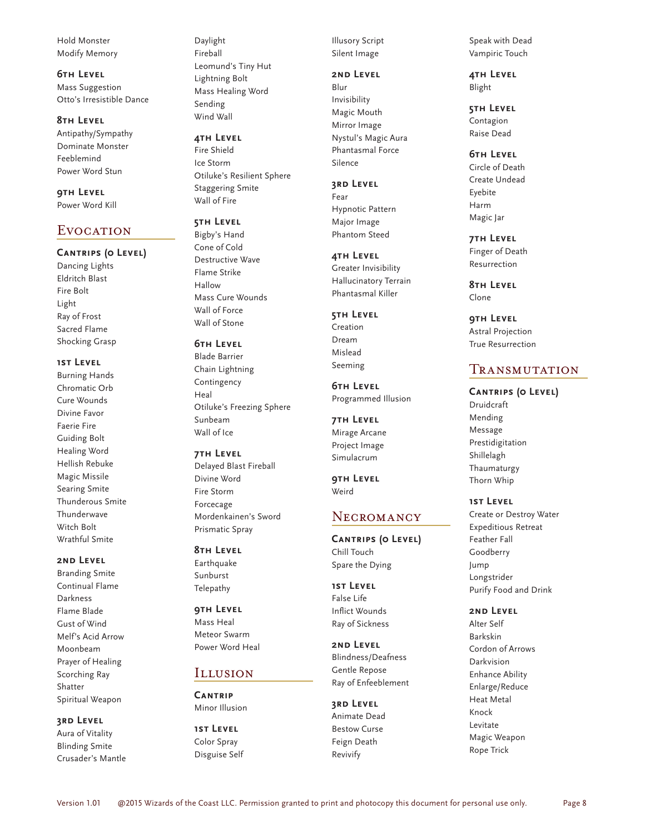Hold Monster Modify Memory

**6th Level** Mass Suggestion Otto's Irresistible Dance

**8th Level** Antipathy/Sympathy Dominate Monster Feeblemind Power Word Stun

**9th Level** Power Word Kill

# EVOCATION

#### **Cantrips (0 Level)**

Dancing Lights Eldritch Blast Fire Bolt Light Ray of Frost Sacred Flame Shocking Grasp

**1st Level**

Burning Hands Chromatic Orb Cure Wounds Divine Favor Faerie Fire Guiding Bolt Healing Word Hellish Rebuke Magic Missile Searing Smite Thunderous Smite Thunderwave Witch Bolt Wrathful Smite

#### **2nd Level**

Branding Smite Continual Flame Darkness Flame Blade Gust of Wind Melf's Acid Arrow Moonbeam Prayer of Healing Scorching Ray Shatter Spiritual Weapon

#### **3rd Level**

Aura of Vitality Blinding Smite Crusader's Mantle

Daylight Fireball Leomund's Tiny Hut Lightning Bolt Mass Healing Word Sending Wind Wall

**4th Level** Fire Shield Ice Storm Otiluke's Resilient Sphere

Staggering Smite Wall of Fire

**5th Level**

Bigby's Hand Cone of Cold Destructive Wave Flame Strike Hallow Mass Cure Wounds Wall of Force Wall of Stone

**6th Level**

Blade Barrier Chain Lightning Contingency Heal Otiluke's Freezing Sphere Sunbeam Wall of Ice

**7th Level** Delayed Blast Fireball Divine Word Fire Storm Forcecage Mordenkainen's Sword Prismatic Spray

#### **8th Level**

Earthquake Sunburst Telepathy

**9th Level** Mass Heal

Meteor Swarm Power Word Heal

# Illusion

**Cantrip** Minor Illusion

**1st Level** Color Spray Disguise Self Illusory Script Silent Image

#### **2nd Level**

Blur Invisibility Magic Mouth Mirror Image Nystul's Magic Aura Phantasmal Force Silence

**3rd Level**

Fear Hypnotic Pattern Major Image Phantom Steed

**4th Level** Greater Invisibility Hallucinatory Terrain Phantasmal Killer

**5th Level** Creation Dream Mislead Seeming

**6th Level** Programmed Illusion

**7th Level** Mirage Arcane Project Image Simulacrum

**9th Level** Weird

## **NECROMANCY**

**Cantrips (0 Level)** Chill Touch Spare the Dying

**1st Level** False Life Inflict Wounds Ray of Sickness

**2nd Level** Blindness/Deafness Gentle Repose Ray of Enfeeblement

**3rd Level** Animate Dead Bestow Curse Feign Death Revivify

Speak with Dead Vampiric Touch

**4th Level** Blight

**5th Level** Contagion Raise Dead

**6th Level** Circle of Death Create Undead Eyebite Harm Magic Jar

**7th Level** Finger of Death Resurrection

**8th Level** Clone

**9th Level** Astral Projection True Resurrection

# **TRANSMUTATION**

**Cantrips (0 Level)** Druidcraft Mending Message Prestidigitation Shillelagh Thaumaturgy Thorn Whip

**1st Level**

Create or Destroy Water Expeditious Retreat Feather Fall Goodberry Jump Longstrider Purify Food and Drink

**2nd Level**

Alter Self Barkskin Cordon of Arrows Darkvision Enhance Ability Enlarge/Reduce Heat Metal Knock Levitate Magic Weapon Rope Trick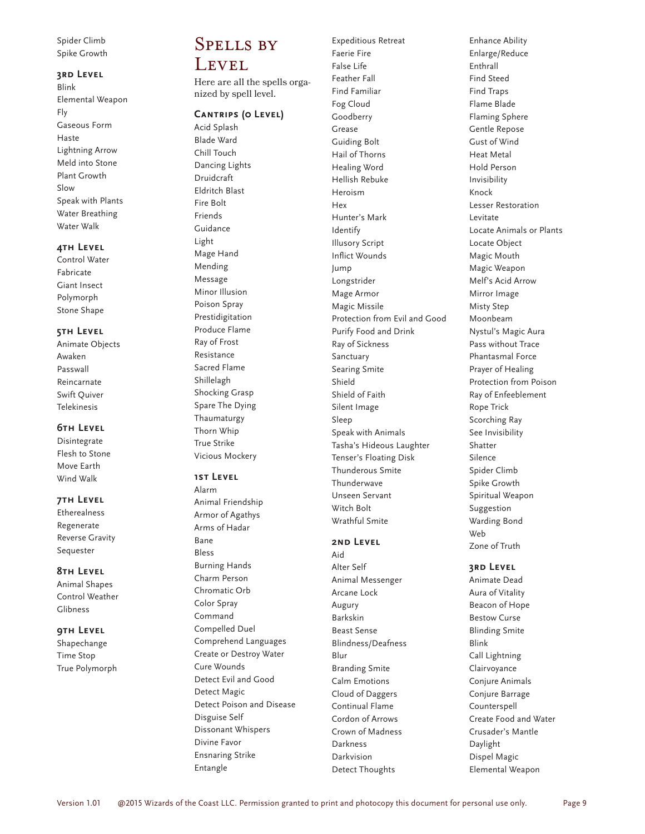Spider Climb Spike Growth

#### **3rd Level**

Blink Elemental Weapon Fly Gaseous Form Haste Lightning Arrow Meld into Stone Plant Growth Slow Speak with Plants Water Breathing Water Walk

#### **4th Level**

Control Water Fabricate Giant Insect Polymorph Stone Shape

#### **5th Level**

Animate Objects Awaken Passwall Reincarnate Swift Quiver Telekinesis

#### **6th Level**

Disintegrate Flesh to Stone Move Earth Wind Walk

#### **7th Level**

Etherealness Regenerate Reverse Gravity Sequester

#### **8th Level**

Animal Shapes Control Weather Glibness

#### **9th Level**

Shapechange Time Stop True Polymorph

# Spells by LEVEL

Here are all the spells organized by spell level.

#### **Cantrips (0 Level)**

Acid Splash Blade Ward Chill Touch Dancing Lights Druidcraft Eldritch Blast Fire Bolt Friends Guidance Light Mage Hand Mending Message Minor Illusion Poison Spray Prestidigitation Produce Flame Ray of Frost Resistance Sacred Flame Shillelagh Shocking Grasp Spare The Dying Thaumaturgy Thorn Whip True Strike Vicious Mockery

#### **1st Level**

Alarm Animal Friendship Armor of Agathys Arms of Hadar Bane Bless Burning Hands Charm Person Chromatic Orb Color Spray Command Compelled Duel Comprehend Languages Create or Destroy Water Cure Wounds Detect Evil and Good Detect Magic Detect Poison and Disease Disguise Self Dissonant Whispers Divine Favor Ensnaring Strike Entangle

Expeditious Retreat Faerie Fire False Life Feather Fall Find Familiar Fog Cloud Goodberry Grease Guiding Bolt Hail of Thorns Healing Word Hellish Rebuke Heroism Hex Hunter's Mark Identify Illusory Script Inflict Wounds Jump Longstrider Mage Armor Magic Missile Protection from Evil and Good Purify Food and Drink Ray of Sickness Sanctuary Searing Smite Shield Shield of Faith Silent Image Sleep Speak with Animals Tasha's Hideous Laughter Tenser's Floating Disk Thunderous Smite Thunderwave Unseen Servant Witch Bolt Wrathful Smite

## **2nd Level**

Aid Alter Self Animal Messenger Arcane Lock Augury Barkskin Beast Sense Blindness/Deafness Blur Branding Smite Calm Emotions Cloud of Daggers Continual Flame Cordon of Arrows Crown of Madness Darkness Darkvision Detect Thoughts

Enhance Ability Enlarge/Reduce Enthrall Find Steed Find Traps Flame Blade Flaming Sphere Gentle Repose Gust of Wind Heat Metal Hold Person Invisibility Knock Lesser Restoration Levitate Locate Animals or Plants Locate Object Magic Mouth Magic Weapon Melf's Acid Arrow Mirror Image Misty Step Moonbeam Nystul's Magic Aura Pass without Trace Phantasmal Force Prayer of Healing Protection from Poison Ray of Enfeeblement Rope Trick Scorching Ray See Invisibility Shatter Silence Spider Climb Spike Growth Spiritual Weapon Suggestion Warding Bond Web Zone of Truth

#### **3rd Level**

Animate Dead Aura of Vitality Beacon of Hope Bestow Curse Blinding Smite Blink Call Lightning Clairvoyance Conjure Animals Conjure Barrage Counterspell Create Food and Water Crusader's Mantle Daylight Dispel Magic Elemental Weapon